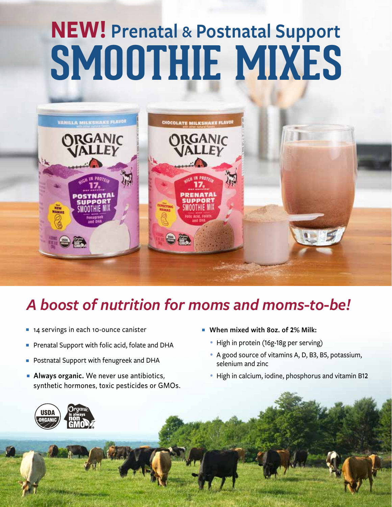# **NEW! Prenatal & Postnatal Support SMOOTHIE MIXES**



## *A boost of nutrition for moms and moms-to-be!*

- 14 servings in each 10-ounce canister
- **Prenatal Support with folic acid, folate and DHA**
- **Postnatal Support with fenugreek and DHA**
- **Always organic.** We never use antibiotics, synthetic hormones, toxic pesticides or GMOs.
- **No When mixed with 8oz. of 2% Milk:** 
	- High in protein (16g-18g per serving)
	- A good source of vitamins A, D, B3, B5, potassium, selenium and zinc
	- High in calcium, iodine, phosphorus and vitamin B12

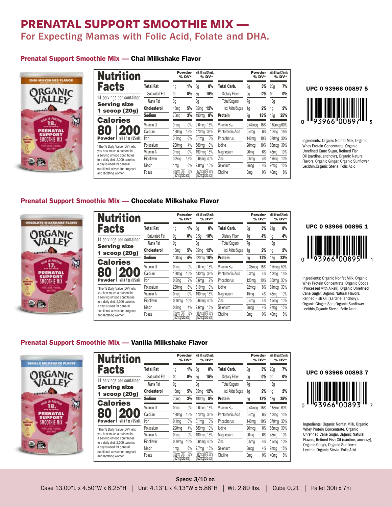### **PRENATAL SUPPORT SMOOTHIE MIX —**

For Expecting Mamas with Folic Acid, Folate and DHA.

#### Prenatal Support Smoothie Mix — Chai Milkshake Flavor



| <b>Nutrition</b>                                                 |                      | <b>Powder</b><br>$%$ DV*         |     | with 8 fl oz of 2% milk | $%$ DV*            |                         |                   | Powder<br>$%$ DV* | with 8 fl oz of 2% milk<br>$%$ DV* |     |
|------------------------------------------------------------------|----------------------|----------------------------------|-----|-------------------------|--------------------|-------------------------|-------------------|-------------------|------------------------------------|-----|
| <b>Facts</b>                                                     | Total Fat            | 1g                               | 1%  | 6g                      | 8%                 | Total Carb.             | 8g                | 3%                | 20 <sub>a</sub>                    | 7%  |
|                                                                  | <b>Saturated Fat</b> | 0g                               | 0%  | 3g                      | 15%                | Dietary Fiber           | 0g                | 0%                | 0g                                 | 0%  |
| 14 servings per container                                        | Trans Fat            | 0g                               |     | 0g                      |                    | <b>Total Sugars</b>     | 7g                |                   | 18g                                |     |
| <b>Serving size</b><br>scoop (20g)                               | <b>Cholesterol</b>   | 15 <sub>mg</sub>                 | 5%  | 35mg                    | 12%                | Incl. Added Sugars      | 1g                | 2%                | 1g                                 | 2%  |
|                                                                  | <b>Sodium</b>        | 70ma                             | 3%  | 190ma                   | 8%                 | <b>Protein</b>          | 9g                | 13%               | 18a                                | 25% |
| <b>Calories</b>                                                  | Vitamin D            | Omca                             | 0%  | 2.6mcg 15%              |                    | Vitamin B <sub>12</sub> | $0.47$ mca        | 15%               | 1.59mcg 60%                        |     |
| 80                                                               | Calcium              | 190 <sub>mg</sub>                | 15% | 470mg                   | 35%                | Pantothenic Acid        | 0.4 <sub>mq</sub> | 6%                | 1.2 <sub>mq</sub>                  | 15% |
| with 8 fl oz of 2% milk<br>Powder l                              | Iron                 | 0.1 <sub>ma</sub>                | 0%  | 0.1 <sub>mq</sub>       | 0%                 | Phosphorus              | 140mg             | 10%               | 370mg                              | 30% |
| *The % Daily Value (DV) tells                                    | Potassium            | 230 <sub>ma</sub>                | 4%  | 580mg 10%               |                    | lodine                  | 28mcq             | 10%               | 86mcq                              | 30% |
| vou how much a nutrient in                                       | Vitamin A            | Omcq                             | 0%  | 190mcg 15%              |                    | Magnesium               | 20 <sub>mq</sub>  | 6%                | 45mg                               | 10% |
| a serving of food contributes<br>to a daily diet. 2,000 calories | Riboflavin           | 0.2 <sub>ma</sub>                | 15% | 0.66mg 40%              |                    | Zinc                    | 0.5 <sub>mq</sub> | 4%                | .6mg                               | 10% |
| a day is used for general                                        | Niacin               | 1mg                              | 6%  | 2.8 <sub>mq</sub>       | 15%                | Selenium                | 3mcg              | 4%                | 9 <sub>mcq</sub>                   | 15% |
| nutritional advice for pregnant<br>and lactating women.          | Folate               | 335mcq DFE<br>195mcq folic acid) | 60% | 350mca DFE 60%          | 195mcq folic acid) | Choline                 | 0 <sub>mq</sub>   | 0%                | 40 <sub>mq</sub>                   | 8%  |

# UPC 0 93966 00897 5



Ingredients: Organic Nonfat Milk, Organic Whey Protein Concentrate, Organic Unrefined Cane Sugar, Refined Fish Oil (sardine, anchovy), Organic Natural Flavors, Organic Ginger, Organic Sunflower Lecithin,Organic Stevia, Folic Acid.

#### Prenatal Support Smoothie Mix — Chocolate Milkshake Flavor



٠

| Nutrition                                                        |                    | Powder<br>$%$ DV*                |     | with 8 fl oz of 2% milk | $%$ DV*                              |                         | <b>Powder</b>     | $%$ DV* | with 8 fl oz of 2% milk<br>$%$ DV* |     |
|------------------------------------------------------------------|--------------------|----------------------------------|-----|-------------------------|--------------------------------------|-------------------------|-------------------|---------|------------------------------------|-----|
| <b>Facts</b>                                                     | Total Fat          | 1g                               | 1%  | 6q                      | 8%                                   | <b>Total Carb.</b>      | 8g                | 3%      | 21q                                | 8%  |
|                                                                  | Saturated Fat      | 0g                               | 0%  | 3.5 <sub>q</sub>        | 18%                                  | Dietary Fiber           | 1g                | 4%      | 1g                                 | 4%  |
| 14 servings per container                                        | Trans Fat          | 0g                               |     | 0g                      |                                      | <b>Total Sugars</b>     | 7g                |         | 18g                                |     |
| <b>Serving size</b><br>scoop (20g)                               | <b>Cholesterol</b> | 15mg                             | 5%  | 35ma                    | 12%                                  | Incl. Added Sugars      | 1g                | 2%      | 1g                                 | 2%  |
|                                                                  | Sodium             | 100 <sub>ma</sub>                | 4%  | 220mg 10%               |                                      | <b>Protein</b>          | 9q                | 12%     | 17q                                | 23% |
| <b>Calories</b>                                                  | Vitamin D          | Omca                             | 0%  | 2.6mcg 15%              |                                      | Vitamin B <sub>12</sub> | $0.38$ mca        | 15%     | 1.5mcq 50%                         |     |
|                                                                  | Calcium            | 160 <sub>mq</sub>                | 10% | 440mg 35%               |                                      | Pantothenic Acid        | 0.3 <sub>ma</sub> | 4%      | 1.2 <sub>mg</sub>                  | 15% |
| with 8 fl oz of 2% milk<br><b>Powder</b>                         | Iron               | 0.5 <sub>mq</sub>                | 2%  | 0.6 <sub>mq</sub>       | 2%                                   | Phosphorus              | 120 <sub>mq</sub> | 10%     | 350mg 30%                          |     |
| *The % Daily Value (DV) tells                                    | Potassium          | 260mg                            | 6%  | 610mg 10%               |                                      | lodine                  | 22mcq             | 8%      | 81mcq                              | 30% |
| you how much a nutrient in                                       | Vitamin A          | Omcg                             | 0%  | 190mcg 15%              |                                      | Magnesium               | 15 <sub>mg</sub>  | 4%      | 45mg                               | 10% |
| a serving of food contributes<br>to a daily diet. 2,000 calories | Riboflavin         | $0.16$ ma                        | 10% | 0.62mg 40%              |                                      | Zinc                    | 0.4 <sub>mq</sub> | 4%      | 1.5ma                              | 10% |
| a day is used for general                                        | Niacin             | 0.8 <sub>mq</sub>                | 4%  | 2.6 <sub>mq</sub>       | 15%                                  | Selenium                | 3mcq              | 4%      | 9 <sub>mcq</sub>                   | 15% |
| nutritional advice for pregnant<br>and lactating women.          | Folate             | 335mcq DFE<br>195mcq folic acid) | 60% |                         | 345mca DFE 60%<br>195mcq folic acid) | Choline                 | 0mq               | 0%      | 40 <sub>ma</sub>                   | 8%  |

#### UPC 0 93966 00895 1



Ingredients: Organic Nonfat Milk, Organic Whey Protein Concentrate, Organic Cocoa (Processed with Alkali), Organic Unrefined Cane Sugar, Organic Natural Flavors, Refined Fish Oil (sardine, anchovy), Organic Ginger, Salt, Organic Sunflower Lecithin,Organic Stevia, Folic Acid.

#### Prenatal Support Smoothie Mix — Vanilla Milkshake Flavor

| <b>VANILLA MILKSHAKE FLAVOS</b> | Nutrition                                                        |                    | Powder<br>$%$ DV*                 |     | with 8 fl oz of 2% milk<br>$%$ DV*    |     |                         | Powder<br>$%$ DV* |     | with 8 fl oz of 2% milk<br>$%$ DV* |     |
|---------------------------------|------------------------------------------------------------------|--------------------|-----------------------------------|-----|---------------------------------------|-----|-------------------------|-------------------|-----|------------------------------------|-----|
|                                 | <b>Facts</b>                                                     | <b>Total Fat</b>   | 1g                                | 1%  | 6g                                    | 8%  | Total Carb.             | 8g                | 3%  | 20 <sub>g</sub>                    | 7%  |
| GANIC                           |                                                                  | Saturated Fat      | 0g                                | 0%  | 3g                                    | 15% | Dietary Fiber           | 0q                | 0%  | 0g                                 | 0%  |
|                                 | 14 servings per container<br><b>Serving size</b>                 | <b>TransFat</b>    | 0g                                |     | 0g                                    |     | <b>Total Sugars</b>     | 7g                |     | 18g                                |     |
|                                 | 1 scoop $(20g)$                                                  | <b>Cholesterol</b> | 15mg                              | 5%  | 35 <sub>mq</sub>                      | 12% | Incl. Added Sugars      | 1g                | 2%  | 1g                                 | 2%  |
|                                 |                                                                  | <b>Sodium</b>      | 70 <sub>mq</sub>                  | 3%  | 190 <sub>mq</sub>                     | 8%  | <b>Protein</b>          | 9g                | 13% | 18 <sub>q</sub>                    | 25% |
| <b>IN FROTELL</b><br>is aarataa | <b>Calories</b>                                                  | Vitamin D          | 0 <sub>mcq</sub>                  | 0%  | 2.6mcg 15%                            |     | Vitamin B <sub>12</sub> | $0.44$ mcq        | 15% | 1.56mcg 60%                        |     |
| PRENATAL<br><b>SUPPORT</b>      |                                                                  | Calcium            | 180mg                             | 15% | 470mg 35%                             |     | Pantothenic Acid        | 0.4 <sub>ma</sub> | 6%  | .2mg                               | 15% |
| OTHIE MIX                       | with 8 fl oz of 2% milk<br><b>Powder</b>                         | Iron               | 0.1 <sub>ma</sub>                 | 0%  | 0.1 <sub>mq</sub>                     | 0%  | Phosphorus              | 140 <sub>ma</sub> | 10% | 370mg 30%                          |     |
|                                 | *The % Daily Value (DV) tells                                    | Potassium          | 220mg                             | 4%  | 580mg 10%                             |     | lodine                  | 26mcq             | 8%  | 85mcg 30%                          |     |
|                                 | vou how much a nutrient in                                       | Vitamin A          | Omca                              | 0%  | 190mcg 15%                            |     | Magnesium               | 20 <sub>mg</sub>  | 6%  | 45 <sub>mg</sub>                   | 10% |
|                                 | a serving of food contributes<br>to a daily diet. 2,000 calories | Riboflavin         | 0.19 <sub>mq</sub>                | 10% | 0.64mg 40%                            |     | Zinc                    | 0.5 <sub>mq</sub> | 4%  | .5mg                               | 10% |
|                                 | a day is used for general<br>nutritional advice for pregnant     | Niacin             | 1 <sub>ma</sub>                   | 6%  | 2.7mg 15%                             |     | Selenium                | 3 <sub>mcq</sub>  | 4%  | 9 <sub>mcg</sub>                   | 15% |
|                                 | and lactating women.                                             | Folate             | 330mcq DFE<br>(195mčq folic acid) | 60% | 340mca DFE 60%<br>(195mcg folic acid) |     | Choline                 | Omg               | 0%  | 40 <sub>mg</sub>                   | 8%  |



redients: Organic Nonfat Milk, Organic whey Protein Concentrate, Organic refined Cane Sugar, Organic Natural vors, Refined Fish Oil (sardine, anchovy), ganic Ginger, Organic Sunflower Lecithin,Organic Stevia, Folic Acid.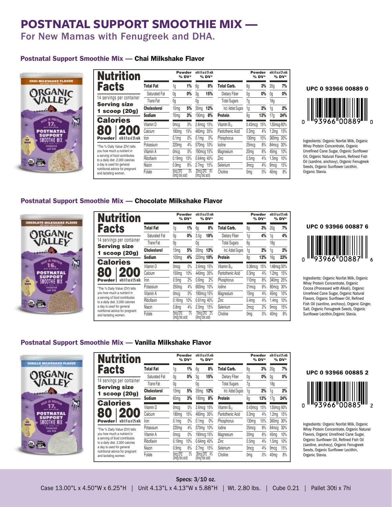### **POSTNATAL SUPPORT SMOOTHIE MIX —**

For New Mamas with Fenugreek and DHA.

#### Postnatal Support Smoothie Mix — Chai Milkshake Flavor



| <b>Nutrition</b>                                                 |                    | Powder<br>$%$ DV*             |     | with 8 fl oz of 2% milk           | $%$ DV* |                         |                   | Powder<br>$%$ DV* | with 8 fl oz of 2% milk<br>$%$ DV* |     |
|------------------------------------------------------------------|--------------------|-------------------------------|-----|-----------------------------------|---------|-------------------------|-------------------|-------------------|------------------------------------|-----|
| <b>Facts</b>                                                     | <b>Total Fat</b>   | 1g                            | 1%  | 6g                                | 8%      | <b>Total Carb.</b>      | 8g                | 3%                | 20a                                | 7%  |
|                                                                  | Saturated Fat      | 0g                            | 0%  | 3g                                | 15%     | Dietary Fiber           | 0g                | 0%                | 0g                                 | 0%  |
| 14 servings per container                                        | <b>Trans Fat</b>   | 0g                            |     | 0g                                |         | <b>Total Sugars</b>     | 7g                |                   | 18g                                |     |
| <b>Serving size</b>                                              | <b>Cholesterol</b> | 15 <sub>mg</sub>              | 5%  | 35mg                              | 12%     | Incl. Added Sugars      | 1g                | 2%                | 1g                                 | 2%  |
| scoop (20g)                                                      | <b>Sodium</b>      | 70 <sub>ma</sub>              | 3%  | 190ma                             | 8%      | <b>Protein</b>          | 9q                | 13%               | 17 <sub>a</sub>                    | 24% |
| <b>Calories</b>                                                  | Vitamin D          | Omca                          | 0%  | 2.6mcg 15%                        |         | Vitamin B <sub>12</sub> | $0.43$ mcq        | 15%               | 1.55mcg 60%                        |     |
| 30                                                               | Calcium            | 180mg                         | 15% | 460mg                             | 35%     | Pantothenic Acid        | 0.3 <sub>mq</sub> | 4%                | 1.2 <sub>mq</sub>                  | 15% |
| with 8 fl oz of 2% milk<br>Powder l                              | Iron               | 0.1 <sub>ma</sub>             | 0%  | 0.1 <sub>ma</sub>                 | 0%      | Phosphorus              | 130 <sub>ma</sub> | 10%               | 360mg                              | 30% |
| *The % Daily Value (DV) tells                                    | Potassium          | 220mg                         | 4%  | 570mg 10%                         |         | lodine                  | 25mcq             | 8%                | 84mcq                              | 30% |
| vou how much a nutrient in                                       | Vitamin A          | 0 <sub>mcq</sub>              | 0%  | 190mcg 15%                        |         | Magnesium               | 20 <sub>mq</sub>  | 6%                | 45mg                               | 10% |
| a serving of food contributes<br>to a daily diet. 2,000 calories | Riboflavin         | $0.19$ ma                     | 10% | 0.64mg 40%                        |         | Zinc                    | 0.5 <sub>ma</sub> | 4%                | 1.5 <sub>mq</sub>                  | 10% |
| a day is used for general                                        | Niacin             | 0.9 <sub>mq</sub>             | 6%  | 2.7 <sub>mg</sub>                 | 15%     | Selenium                | 3 <sub>mcg</sub>  | 4%                | 9 <sub>mcq</sub>                   | 15% |
| nutritional advice for pregnant<br>and lactating women.          | Folate             | 5mcq DFE<br>(Omčq folic acid) | 0%  | 20mca DFE 4%<br>(Omcq*folic acid) |         | Choline                 | 0 <sub>mq</sub>   | 0%                | 40mg                               | 8%  |



Ingredients: Organic Nonfat Milk, Organic Whey Protein Concentrate, Organic Unrefined Cane Sugar, Organic Sunflower Oil, Organic Natural Flavors, Refined Fish Oil (sardine, anchovy), Organic Fenugreek Seeds, Organic Sunflower Lecithin, Organic Stevia.

#### Postnatal Support Smoothie Mix — Chocolate Milkshake Flavor



a

| <b>Nutrition</b>                                                 |                      | Powder<br>$%$ DV*             |     |                                | with 8 fl oz of 2% milk<br>$%$ DV* |                         | Powder            | $%$ DV* | with 8 fl oz of 2% milk<br>$%$ DV* |     |
|------------------------------------------------------------------|----------------------|-------------------------------|-----|--------------------------------|------------------------------------|-------------------------|-------------------|---------|------------------------------------|-----|
| <b>Facts</b>                                                     | <b>Total Fat</b>     | 1g                            | 1%  | 6g                             | 8%                                 | Total Carb.             | 8g                | 3%      | 20q                                | 7%  |
|                                                                  | <b>Saturated Fat</b> | 0g                            | 0%  | 3.5 <sub>q</sub>               | 18%                                | Dietary Fiber           | 1g                | 4%      | 1g                                 | 4%  |
| 14 servings per container                                        | Trans Fat            | 0g                            |     | 0g                             |                                    | <b>Total Sugars</b>     | 6g                |         | 18g                                |     |
| <b>Serving size</b><br>scoop (20g)                               | <b>Cholesterol</b>   | 15mg                          | 5%  | 35 <sub>ma</sub>               | 12%                                | Incl. Added Sugars      | 1g                | 2%      | 1g                                 | 2%  |
|                                                                  | Sodium               | 100ma                         | 4%  | 220mg 10%                      |                                    | <b>Protein</b>          | 8g                | 12%     | 16q                                | 23% |
| <b>Calories</b>                                                  | Vitamin D            | Omca                          | 0%  | 2.6mcg 15%                     |                                    | Vitamin B <sub>12</sub> | $0.36$ mca        | 15%     | 1.48mcg 50%                        |     |
|                                                                  | Calcium              | 150mg                         | 10% | 440mg                          | 35%                                | Pantothenic Acid        | 0.3 <sub>mq</sub> | 4%      | 1.2 <sub>mg</sub>                  | 15% |
| with 8 fl oz of 2% milk<br><b>Powder</b>                         | Iron                 | 0.5 <sub>mq</sub>             | 2%  | 0.6 <sub>mq</sub>              | 2%                                 | Phosphorus              | 110 <sub>mg</sub> | 8%      | 340mg 25%                          |     |
| *The % Daily Value (DV) tells                                    | Potassium            | 250mg                         | 4%  | 600mq                          | 10%                                | lodine                  | 21mcq             | 8%      | 80mcq                              | 30% |
| you how much a nutrient in                                       | Vitamin A            | Omca                          | 0%  |                                | 190mcg 15%                         | Magnesium               | 15 <sub>mq</sub>  | 4%      | 45mg                               | 10% |
| a serving of food contributes<br>to a daily diet. 2,000 calories | Riboflavin           | $0.16$ ma                     | 10% | 0.61mg 40%                     |                                    | Zinc                    | 0.4 <sub>mq</sub> | 4%      | l.4mg                              | 10% |
| a day is used for general                                        | Niacin               | 0.8 <sub>mq</sub>             | 4%  | 2.5 <sub>mq</sub>              | 15%                                | Selenium                | 2mcg              | 2%      | 9 <sub>mcq</sub>                   | 15% |
| nutritional advice for pregnant<br>and lactating women.          | Folate               | 5mca DFE<br>(Omčo folic acid) | 0%  | 15mca DFE<br>(Omcq folic acid) | - 2%                               | Choline                 | 0mg               | 0%      | 40 <sub>mq</sub>                   | 8%  |



Ingredients: Organic Nonfat Milk, Organic Whey Protein Concentrate, Organic Cocoa (Processed with Alkali), Organic Unrefined Cane Sugar, Organic Natural Flavors, Organic Sunflower Oil, Refined Fish Oil (sardine, anchovy), Organic Ginger, Salt, Organic Fenugreek Seeds, Organic Sunflower Lecithin,Organic Stevia.

#### Postnatal Support Smoothie Mix — Vanilla Milkshake Flavor

| <b>VANILLA MILKEHAKE FLAVOS</b> | <b>Nutrition</b>                                                 |                    | Powder                        | $%$ DV* |                   | with 8 fl oz of 2% milk<br>$%$ DV* |                         |                   | Powder<br>$%$ DV* |                  | with 8 fl oz of 2% milk<br>$%$ DV* |                                                                             |
|---------------------------------|------------------------------------------------------------------|--------------------|-------------------------------|---------|-------------------|------------------------------------|-------------------------|-------------------|-------------------|------------------|------------------------------------|-----------------------------------------------------------------------------|
|                                 | <b>Facts</b>                                                     | <b>Total Fat</b>   |                               | 1%      | 6g                | 8%                                 | Total Carb.             | 8q                | 3%                | 20 <sub>g</sub>  | 7%                                 | UPC 0 93966 00885 2                                                         |
|                                 |                                                                  | Saturated Fat      | 0a                            | 0%      | 3q                | 15%                                | Dietary Fiber           | 0a                | 0%                |                  | 0%                                 |                                                                             |
|                                 | 14 servings per container                                        | Trans Fat          | 0g                            |         | 0g                |                                    | <b>Total Sugars</b>     |                   |                   | 18g              |                                    |                                                                             |
|                                 | <b>Serving size</b><br>scoop (20g)                               | <b>Cholesterol</b> | 15mg                          | 5%      | 35 <sub>mq</sub>  | 12%                                | Incl. Added Sugars      | 1a                | 2%                |                  | 2%                                 |                                                                             |
|                                 |                                                                  | <b>Sodium</b>      | 65 <sub>mq</sub>              | 3%      |                   | 190mg 8%                           | Protein                 | 9q                | 13%               | 17 <sub>a</sub>  | 24%                                |                                                                             |
|                                 | <b>Calories</b>                                                  | Vitamin D          | Omcg                          | $0\%$   |                   | 2.6mcg 15%                         | Vitamin B <sub>12</sub> | $0.43$ mcg        | 15%               |                  | 1.55mcg 60%                        |                                                                             |
| DSTNATAL<br>SUPPORT             | 80                                                               | Calcium            | 180mg                         | 15%     | 460mg             | 35%                                | Pantothenic Acid        | 0.3 <sub>ma</sub> | 4%                |                  | 1.2mg 15%                          |                                                                             |
| OOTHIE MIX<br>品                 | with 8 fl oz of 2% milk<br><b>Powder!</b>                        | Iron               | 0.1 <sub>mq</sub>             | 0%      | 0.1ma             | 0%                                 | Phosphorus              | 130 <sub>mq</sub> | 10%               |                  | 360mg 30%                          | Ingredients: Organic Nonfat Milk, Organic                                   |
| Foaugress<br>and DAN            | *The % Daily Value (DV) tells                                    | Potassium          | 220 <sub>mg</sub>             | 4%      |                   | 570mg 10%                          | lodine                  | 25 <sub>mcq</sub> | 8%                |                  | 84mcg 30%                          | Whey Protein Concentrate, Organic Natural                                   |
|                                 | you how much a nutrient in                                       | Vitamin A          | Omcq                          | 0%      |                   | 190mcq 15%                         | Magnesium               | 20 <sub>mq</sub>  | 6%                | 45mg             | 10%                                | Flavors, Organic Unrefined Cane Sugar,                                      |
|                                 | a serving of food contributes<br>to a daily diet. 2,000 calories | Riboflavin         | 0.19 <sub>mq</sub>            | 10%     |                   | 0.64mg 40%                         | Zinc                    | 0.5 <sub>mq</sub> | 4%                | l.5mg            | 10%                                | Organic Sunflower Oil, Refined Fish Oil                                     |
|                                 | a day is used for general                                        | Niacin             | 0.9 <sub>mq</sub>             | 6%      | 2.7 <sub>mg</sub> | 15%                                | Selenium                | 3 <sub>mca</sub>  | 4%                | 9 <sub>mcg</sub> | 15%                                | (sardine, anchovy), Organic Fenugreek<br>Seeds, Organic Sunflower Lecithin, |
|                                 | nutritional advice for pregnant<br>and lactating women.          | Folate             | 5mca DFE<br>(Omčo folic acid) | O%      | (Omcq folic acid) | 20mcq DFE 4%                       | Choline                 | 0ma               | 0%                | 40 <sub>mq</sub> | 8%                                 | Organic Stevia.                                                             |